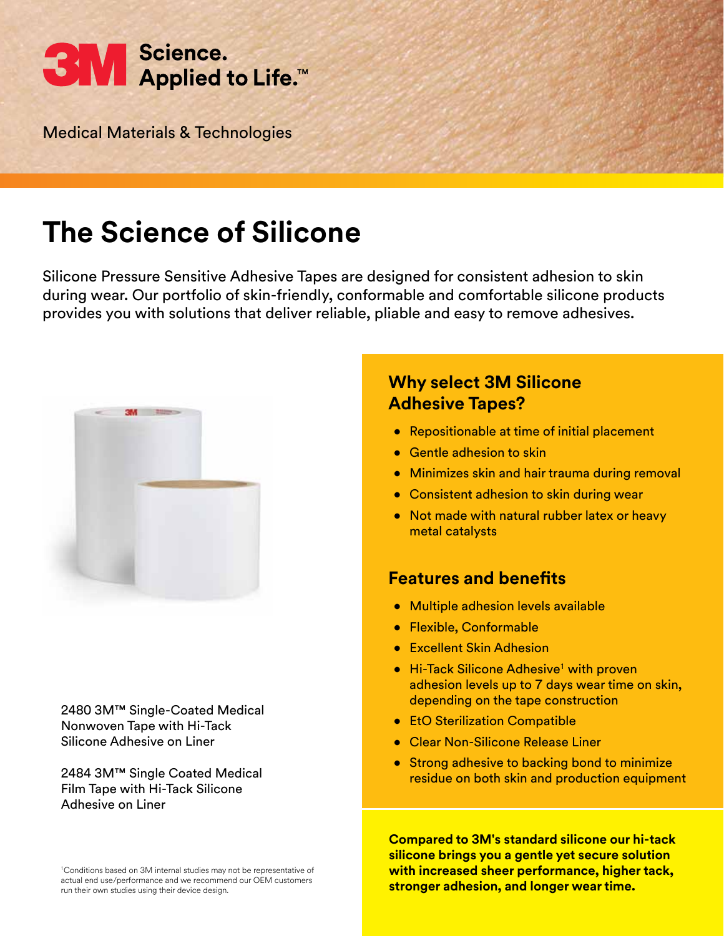

Medical Materials & Technologies

# **The Science of Silicone**

Silicone Pressure Sensitive Adhesive Tapes are designed for consistent adhesion to skin during wear. Our portfolio of skin-friendly, conformable and comfortable silicone products provides you with solutions that deliver reliable, pliable and easy to remove adhesives.



2480 3M™ Single-Coated Medical Nonwoven Tape with Hi-Tack Silicone Adhesive on Liner

2484 3M™ Single Coated Medical Film Tape with Hi-Tack Silicone Adhesive on Liner

## **Why select 3M Silicone Adhesive Tapes?**

- Repositionable at time of initial placement
- Gentle adhesion to skin
- Minimizes skin and hair trauma during removal
- Consistent adhesion to skin during wear
- Not made with natural rubber latex or heavy metal catalysts

### **Features and benefits**

- Multiple adhesion levels available
- Flexible, Conformable
- Excellent Skin Adhesion
- Hi-Tack Silicone Adhesive<sup>1</sup> with proven adhesion levels up to 7 days wear time on skin, depending on the tape construction
- EtO Sterilization Compatible
- Clear Non-Silicone Release Liner
- Strong adhesive to backing bond to minimize residue on both skin and production equipment

**Compared to 3M's standard silicone our hi-tack silicone brings you a gentle yet secure solution with increased sheer performance, higher tack, stronger adhesion, and longer wear time.**

<sup>1</sup>Conditions based on 3M internal studies may not be representative of actual end use/performance and we recommend our OEM customers run their own studies using their device design.